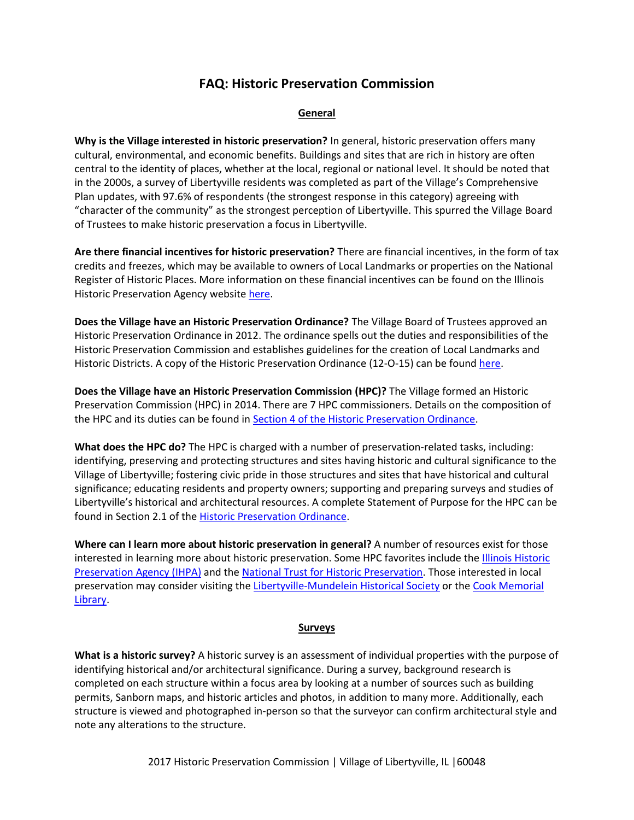# **FAQ: Historic Preservation Commission**

#### **General**

**Why is the Village interested in historic preservation?** In general, historic preservation offers many cultural, environmental, and economic benefits. Buildings and sites that are rich in history are often central to the identity of places, whether at the local, regional or national level. It should be noted that in the 2000s, a survey of Libertyville residents was completed as part of the Village's Comprehensive Plan updates, with 97.6% of respondents (the strongest response in this category) agreeing with "character of the community" as the strongest perception of Libertyville. This spurred the Village Board of Trustees to make historic preservation a focus in Libertyville.

**Are there financial incentives for historic preservation?** There are financial incentives, in the form of tax credits and freezes, which may be available to owners of Local Landmarks or properties on the National Register of Historic Places. More information on these financial incentives can be found on the Illinois Historic Preservation Agency website [here.](https://www2.illinois.gov/ihpa/Pages/default.aspx)

**Does the Village have an Historic Preservation Ordinance?** The Village Board of Trustees approved an Historic Preservation Ordinance in 2012. The ordinance spells out the duties and responsibilities of the Historic Preservation Commission and establishes guidelines for the creation of Local Landmarks and Historic Districts. A copy of the Historic Preservation Ordinance (12-O-15) can be found [here.](http://www.libertyville.com/DocumentCenter/View/14778)

**Does the Village have an Historic Preservation Commission (HPC)?** The Village formed an Historic Preservation Commission (HPC) in 2014. There are 7 HPC commissioners. Details on the composition of the HPC and its duties can be found in [Section 4 of the Historic Preservation Ordinance.](http://www.libertyville.com/DocumentCenter/View/14778)

**What does the HPC do?** The HPC is charged with a number of preservation-related tasks, including: identifying, preserving and protecting structures and sites having historic and cultural significance to the Village of Libertyville; fostering civic pride in those structures and sites that have historical and cultural significance; educating residents and property owners; supporting and preparing surveys and studies of Libertyville's historical and architectural resources. A complete Statement of Purpose for the HPC can be found in Section 2.1 of th[e Historic Preservation Ordinance.](http://www.libertyville.com/DocumentCenter/View/14778)

**Where can I learn more about historic preservation in general?** A number of resources exist for those interested in learning more about historic preservation. Some HPC favorites include the *Illinois Historic* [Preservation Agency \(IHPA\)](https://www2.illinois.gov/ihpa/Pages/default.aspx) and th[e National Trust for Historic Preservation.](https://savingplaces.org/) Those interested in local preservation may consider visiting the [Libertyville-Mundelein Historical Society](http://www.lmhistory.org/) or th[e Cook Memorial](http://www.cooklib.org/)  [Library.](http://www.cooklib.org/)

#### **Surveys**

**What is a historic survey?** A historic survey is an assessment of individual properties with the purpose of identifying historical and/or architectural significance. During a survey, background research is completed on each structure within a focus area by looking at a number of sources such as building permits, Sanborn maps, and historic articles and photos, in addition to many more. Additionally, each structure is viewed and photographed in-person so that the surveyor can confirm architectural style and note any alterations to the structure.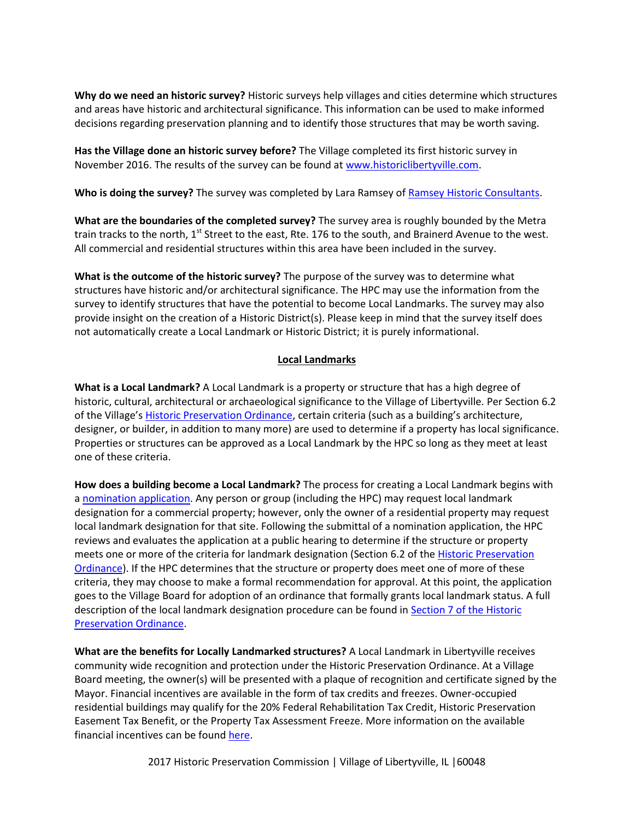**Why do we need an historic survey?** Historic surveys help villages and cities determine which structures and areas have historic and architectural significance. This information can be used to make informed decisions regarding preservation planning and to identify those structures that may be worth saving.

**Has the Village done an historic survey before?** The Village completed its first historic survey in November 2016. The results of the survey can be found at [www.historiclibertyville.com.](http://www.historiclibertyville.com/)

**Who is doing the survey?** The survey was completed by Lara Ramsey of [Ramsey Historic Consultants.](http://www.ramseyhcinc.com/)

**What are the boundaries of the completed survey?** The survey area is roughly bounded by the Metra train tracks to the north, 1<sup>st</sup> Street to the east, Rte. 176 to the south, and Brainerd Avenue to the west. All commercial and residential structures within this area have been included in the survey.

**What is the outcome of the historic survey?** The purpose of the survey was to determine what structures have historic and/or architectural significance. The HPC may use the information from the survey to identify structures that have the potential to become Local Landmarks. The survey may also provide insight on the creation of a Historic District(s). Please keep in mind that the survey itself does not automatically create a Local Landmark or Historic District; it is purely informational.

#### **Local Landmarks**

**What is a Local Landmark?** A Local Landmark is a property or structure that has a high degree of historic, cultural, architectural or archaeological significance to the Village of Libertyville. Per Section 6.2 of the Village's [Historic Preservation Ordinance,](http://www.libertyville.com/DocumentCenter/View/14778) certain criteria (such as a building's architecture, designer, or builder, in addition to many more) are used to determine if a property has local significance. Properties or structures can be approved as a Local Landmark by the HPC so long as they meet at least one of these criteria.

**How does a building become a Local Landmark?** The process for creating a Local Landmark begins with a [nomination application.](http://www.libertyville.com/DocumentCenter/View/14780) Any person or group (including the HPC) may request local landmark designation for a commercial property; however, only the owner of a residential property may request local landmark designation for that site. Following the submittal of a nomination application, the HPC reviews and evaluates the application at a public hearing to determine if the structure or property meets one or more of the criteria for landmark designation (Section 6.2 of th[e Historic Preservation](http://www.libertyville.com/DocumentCenter/View/14778)  [Ordinance\)](http://www.libertyville.com/DocumentCenter/View/14778). If the HPC determines that the structure or property does meet one of more of these criteria, they may choose to make a formal recommendation for approval. At this point, the application goes to the Village Board for adoption of an ordinance that formally grants local landmark status. A full description of the local landmark designation procedure can be found in [Section 7 of the Historic](http://www.libertyville.com/DocumentCenter/View/14778)  [Preservation Ordinance.](http://www.libertyville.com/DocumentCenter/View/14778)

**What are the benefits for Locally Landmarked structures?** A Local Landmark in Libertyville receives community wide recognition and protection under the Historic Preservation Ordinance. At a Village Board meeting, the owner(s) will be presented with a plaque of recognition and certificate signed by the Mayor. Financial incentives are available in the form of tax credits and freezes. Owner-occupied residential buildings may qualify for the 20% Federal Rehabilitation Tax Credit, Historic Preservation Easement Tax Benefit, or the Property Tax Assessment Freeze. More information on the available financial incentives can be foun[d here.](http://www.libertyville.com/DocumentCenter/View/17192)

2017 Historic Preservation Commission | Village of Libertyville, IL | 60048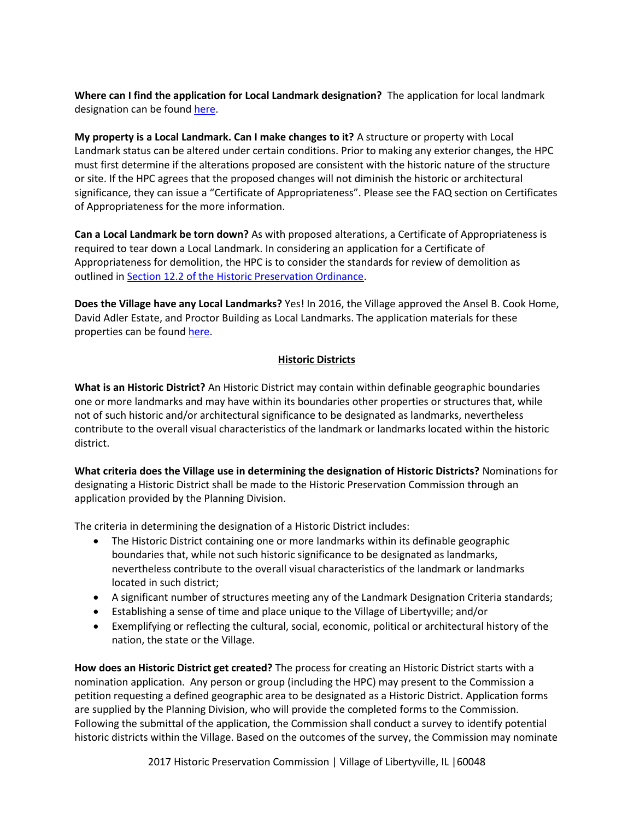**Where can I find the application for Local Landmark designation?** The application for local landmark designation can be foun[d here.](http://www.libertyville.com/DocumentCenter/View/14780)

**My property is a Local Landmark. Can I make changes to it?** A structure or property with Local Landmark status can be altered under certain conditions. Prior to making any exterior changes, the HPC must first determine if the alterations proposed are consistent with the historic nature of the structure or site. If the HPC agrees that the proposed changes will not diminish the historic or architectural significance, they can issue a "Certificate of Appropriateness". Please see the FAQ section on Certificates of Appropriateness for the more information.

**Can a Local Landmark be torn down?** As with proposed alterations, a Certificate of Appropriateness is required to tear down a Local Landmark. In considering an application for a Certificate of Appropriateness for demolition, the HPC is to consider the standards for review of demolition as outlined i[n Section 12.2 of the Historic Preservation Ordinance.](http://www.libertyville.com/DocumentCenter/View/14778)

**Does the Village have any Local Landmarks?** Yes! In 2016, the Village approved the Ansel B. Cook Home, David Adler Estate, and Proctor Building as Local Landmarks. The application materials for these properties can be found [here.](http://www.libertyville.com/461/Historic-Preservation-Commission)

## **Historic Districts**

**What is an Historic District?** An Historic District may contain within definable geographic boundaries one or more landmarks and may have within its boundaries other properties or structures that, while not of such historic and/or architectural significance to be designated as landmarks, nevertheless contribute to the overall visual characteristics of the landmark or landmarks located within the historic district.

**What criteria does the Village use in determining the designation of Historic Districts?** Nominations for designating a Historic District shall be made to the Historic Preservation Commission through an application provided by the Planning Division.

The criteria in determining the designation of a Historic District includes:

- The Historic District containing one or more landmarks within its definable geographic boundaries that, while not such historic significance to be designated as landmarks, nevertheless contribute to the overall visual characteristics of the landmark or landmarks located in such district;
- A significant number of structures meeting any of the Landmark Designation Criteria standards;
- Establishing a sense of time and place unique to the Village of Libertyville; and/or
- Exemplifying or reflecting the cultural, social, economic, political or architectural history of the nation, the state or the Village.

**How does an Historic District get created?** The process for creating an Historic District starts with a nomination application. Any person or group (including the HPC) may present to the Commission a petition requesting a defined geographic area to be designated as a Historic District. Application forms are supplied by the Planning Division, who will provide the completed forms to the Commission. Following the submittal of the application, the Commission shall conduct a survey to identify potential historic districts within the Village. Based on the outcomes of the survey, the Commission may nominate

2017 Historic Preservation Commission | Village of Libertyville, IL |60048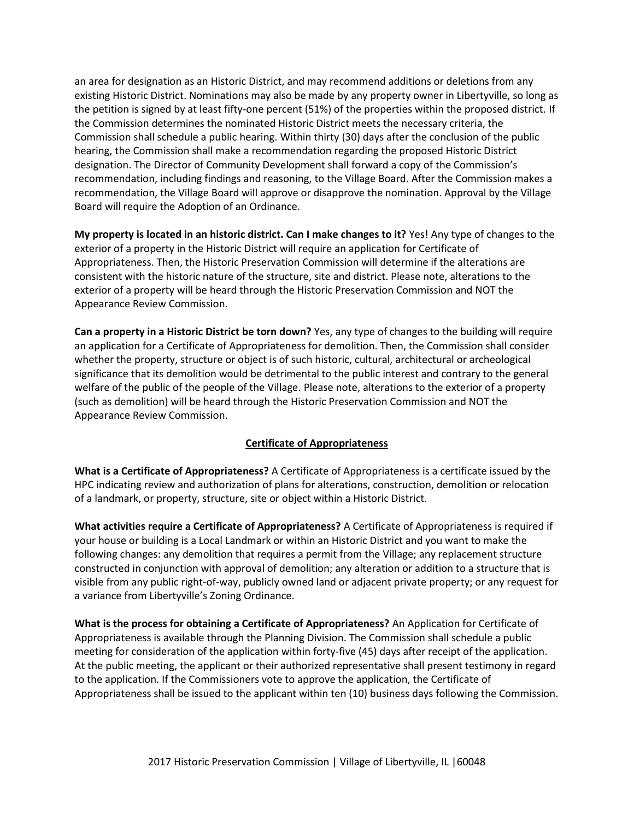an area for designation as an Historic District, and may recommend additions or deletions from any existing Historic District. Nominations may also be made by any property owner in Libertyville, so long as the petition is signed by at least fifty-one percent (51%) of the properties within the proposed district. If the Commission determines the nominated Historic District meets the necessary criteria, the Commission shall schedule a public hearing. Within thirty (30) days after the conclusion of the public hearing, the Commission shall make a recommendation regarding the proposed Historic District designation. The Director of Community Development shall forward a copy of the Commission's recommendation, including findings and reasoning, to the Village Board. After the Commission makes a recommendation, the Village Board will approve or disapprove the nomination. Approval by the Village Board will require the Adoption of an Ordinance.

**My property is located in an historic district. Can I make changes to it?** Yes! Any type of changes to the exterior of a property in the Historic District will require an application for Certificate of Appropriateness. Then, the Historic Preservation Commission will determine if the alterations are consistent with the historic nature of the structure, site and district. Please note, alterations to the exterior of a property will be heard through the Historic Preservation Commission and NOT the Appearance Review Commission.

**Can a property in a Historic District be torn down?** Yes, any type of changes to the building will require an application for a Certificate of Appropriateness for demolition. Then, the Commission shall consider whether the property, structure or object is of such historic, cultural, architectural or archeological significance that its demolition would be detrimental to the public interest and contrary to the general welfare of the public of the people of the Village. Please note, alterations to the exterior of a property (such as demolition) will be heard through the Historic Preservation Commission and NOT the Appearance Review Commission.

### **Certificate of Appropriateness**

**What is a Certificate of Appropriateness?** A Certificate of Appropriateness is a certificate issued by the HPC indicating review and authorization of plans for alterations, construction, demolition or relocation of a landmark, or property, structure, site or object within a Historic District.

**What activities require a Certificate of Appropriateness?** A Certificate of Appropriateness is required if your house or building is a Local Landmark or within an Historic District and you want to make the following changes: any demolition that requires a permit from the Village; any replacement structure constructed in conjunction with approval of demolition; any alteration or addition to a structure that is visible from any public right-of-way, publicly owned land or adjacent private property; or any request for a variance from Libertyville's Zoning Ordinance.

**What is the process for obtaining a Certificate of Appropriateness?** An Application for Certificate of Appropriateness is available through the Planning Division. The Commission shall schedule a public meeting for consideration of the application within forty-five (45) days after receipt of the application. At the public meeting, the applicant or their authorized representative shall present testimony in regard to the application. If the Commissioners vote to approve the application, the Certificate of Appropriateness shall be issued to the applicant within ten (10) business days following the Commission.